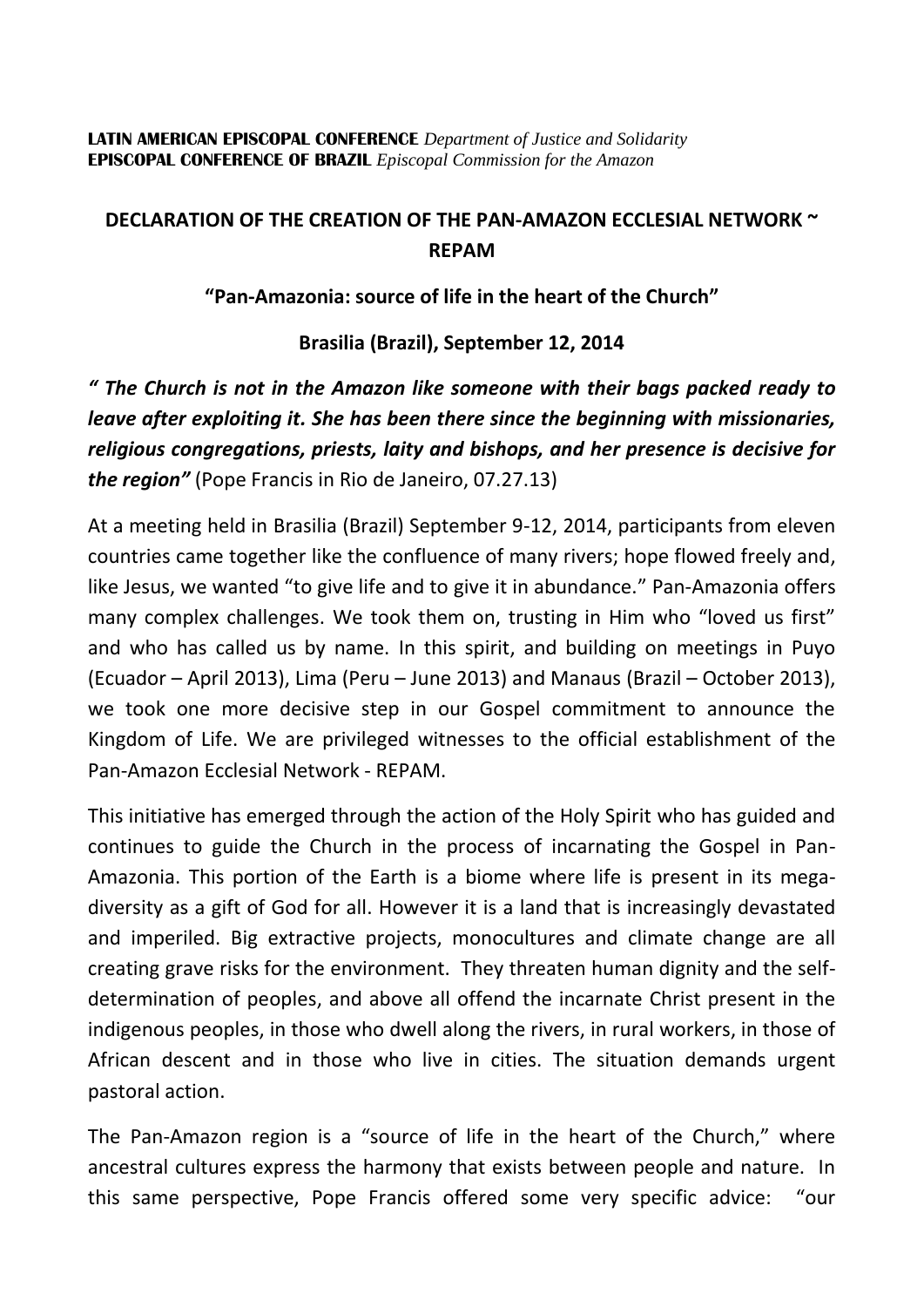## **LATIN AMERICAN EPISCOPAL CONFERENCE** *Department of Justice and Solidarity* **EPISCOPAL CONFERENCE OF BRAZIL** *Episcopal Commission for the Amazon*

## **DECLARATION OF THE CREATION OF THE PAN-AMAZON ECCLESIAL NETWORK ~ REPAM**

## **"Pan-Amazonia: source of life in the heart of the Church"**

**Brasilia (Brazil), September 12, 2014**

*" The Church is not in the Amazon like someone with their bags packed ready to leave after exploiting it. She has been there since the beginning with missionaries, religious congregations, priests, laity and bishops, and her presence is decisive for the region"* (Pope Francis in Rio de Janeiro, 07.27.13)

At a meeting held in Brasilia (Brazil) September 9-12, 2014, participants from eleven countries came together like the confluence of many rivers; hope flowed freely and, like Jesus, we wanted "to give life and to give it in abundance." Pan-Amazonia offers many complex challenges. We took them on, trusting in Him who "loved us first" and who has called us by name. In this spirit, and building on meetings in Puyo (Ecuador – April 2013), Lima (Peru – June 2013) and Manaus (Brazil – October 2013), we took one more decisive step in our Gospel commitment to announce the Kingdom of Life. We are privileged witnesses to the official establishment of the Pan-Amazon Ecclesial Network - REPAM.

This initiative has emerged through the action of the Holy Spirit who has guided and continues to guide the Church in the process of incarnating the Gospel in Pan-Amazonia. This portion of the Earth is a biome where life is present in its megadiversity as a gift of God for all. However it is a land that is increasingly devastated and imperiled. Big extractive projects, monocultures and climate change are all creating grave risks for the environment. They threaten human dignity and the selfdetermination of peoples, and above all offend the incarnate Christ present in the indigenous peoples, in those who dwell along the rivers, in rural workers, in those of African descent and in those who live in cities. The situation demands urgent pastoral action.

The Pan-Amazon region is a "source of life in the heart of the Church," where ancestral cultures express the harmony that exists between people and nature. In this same perspective, Pope Francis offered some very specific advice: "our